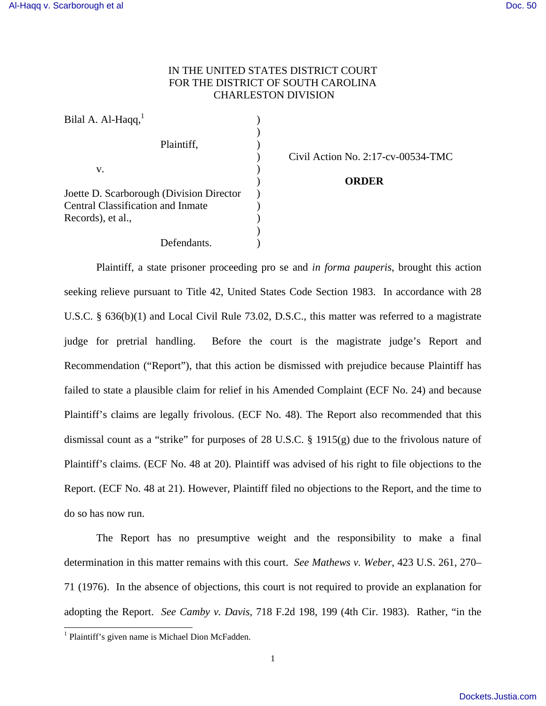## IN THE UNITED STATES DISTRICT COURT FOR THE DISTRICT OF SOUTH CAROLINA CHARLESTON DIVISION

| Bilal A. Al-Haqq, <sup>1</sup>           |  |
|------------------------------------------|--|
|                                          |  |
| Plaintiff,                               |  |
|                                          |  |
| v.                                       |  |
|                                          |  |
| Joette D. Scarborough (Division Director |  |
| Central Classification and Inmate        |  |
| Records), et al.,                        |  |
|                                          |  |
| Defendants.                              |  |

) Civil Action No. 2:17-cv-00534-TMC

## ) **ORDER**

Plaintiff, a state prisoner proceeding pro se and *in forma pauperis*, brought this action seeking relieve pursuant to Title 42, United States Code Section 1983. In accordance with 28 U.S.C. § 636(b)(1) and Local Civil Rule 73.02, D.S.C., this matter was referred to a magistrate judge for pretrial handling. Before the court is the magistrate judge's Report and Recommendation ("Report"), that this action be dismissed with prejudice because Plaintiff has failed to state a plausible claim for relief in his Amended Complaint (ECF No. 24) and because Plaintiff's claims are legally frivolous. (ECF No. 48). The Report also recommended that this dismissal count as a "strike" for purposes of 28 U.S.C. § 1915(g) due to the frivolous nature of Plaintiff's claims. (ECF No. 48 at 20). Plaintiff was advised of his right to file objections to the Report. (ECF No. 48 at 21). However, Plaintiff filed no objections to the Report, and the time to do so has now run.

 The Report has no presumptive weight and the responsibility to make a final determination in this matter remains with this court. *See Mathews v. Weber*, 423 U.S. 261, 270– 71 (1976). In the absence of objections, this court is not required to provide an explanation for adopting the Report. *See Camby v. Davis*, 718 F.2d 198, 199 (4th Cir. 1983). Rather, "in the

-

<sup>&</sup>lt;sup>1</sup> Plaintiff's given name is Michael Dion McFadden.